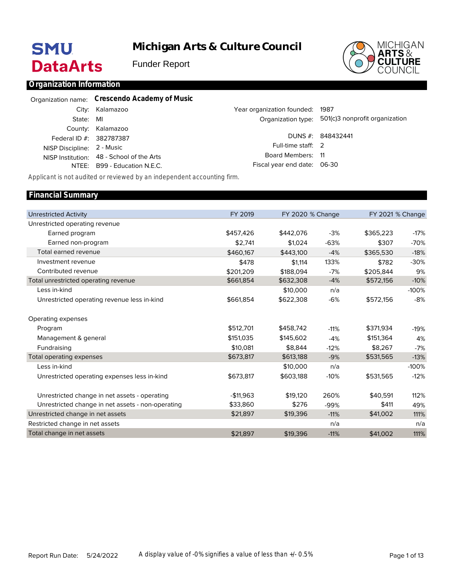# **SMU DataArts**

**Michigan Arts & Culture Council**

Funder Report



### **Organization Information**

|                            | Organization name: Crescendo Academy of Music |                                 |                                                   |
|----------------------------|-----------------------------------------------|---------------------------------|---------------------------------------------------|
|                            | City: Kalamazoo                               | Year organization founded: 1987 |                                                   |
| State: MI                  |                                               |                                 | Organization type: 501(c)3 nonprofit organization |
|                            | County: Kalamazoo                             |                                 |                                                   |
| Federal ID #: 382787387    |                                               |                                 | DUNS #: 848432441                                 |
| NISP Discipline: 2 - Music |                                               | Full-time staff: 2              |                                                   |
|                            | NISP Institution: 48 - School of the Arts     | Board Members: 11               |                                                   |
|                            | NTEE: B99 - Education N.E.C.                  | Fiscal year end date: 06-30     |                                                   |

*Applicant is not audited or reviewed by an independent accounting firm.*

### Unrestricted Activity Unrestricted operating revenue Earned program Earned non-program Total earned revenue Investment revenue Contributed revenue Total unrestricted operating revenue Less in-kind Unrestricted operating revenue less in-kind Operating expenses Program Management & general Fundraising Total operating expenses Less in-kind Unrestricted operating expenses less in-kind Unrestricted change in net assets - operating Unrestricted change in net assets - non-operating Unrestricted change in net assets Restricted change in net assets Total change in net assets FY 2019 \$457,426 \$2,741 \$460,167 \$478 \$201,209 \$661,854 \$661,854 \$512,701 \$151,035 \$10,081 \$673,817 \$673,817 -\$11,963 \$33,860 \$21,897 \$21,897 FY 2020 % Change \$442,076 \$1,024 \$443,100 \$1,114 \$188,094 \$632,308 \$10,000 \$622,308 \$458,742 \$145,602 \$8,844 \$613,188 \$10,000 \$603,188 \$19,120 \$276 \$19,396 \$19,396 -3% -63% -4% 133% -7% -4% n/a -6% -11% -4% -12% -9% n/a -10% 260% -99% -11% n/a -11% FY 2021 % Change \$365,223 \$307 \$365,530 \$782 \$205,844 \$572,156 \$572,156 \$371,934 \$151,364 \$8,267 \$531,565 \$531,565 \$40,591 \$411 \$41,002 \$41,002 -17% -70% -18% -30% 9% -10% -100% -8% -19% 4% -7% -13% -100% -12% 112% 49% 111% n/a 111% **Financial Summary**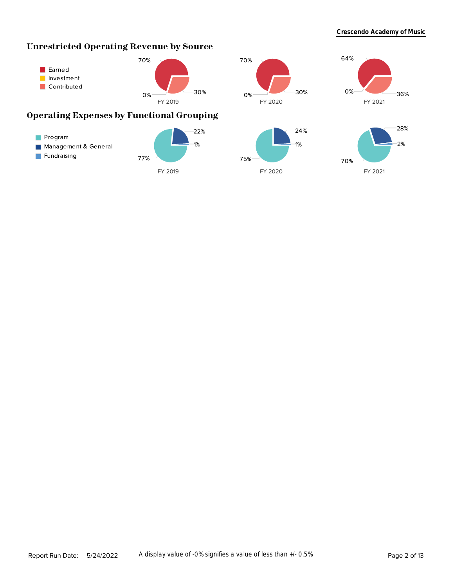# **Unrestricted Operating Revenue by Source**



# **Operating Expenses by Functional Grouping**





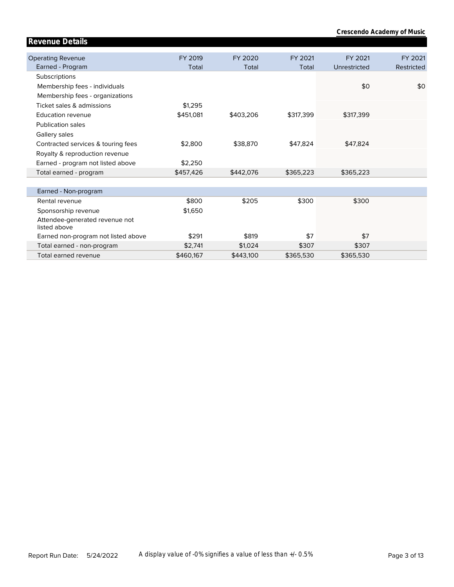| Revenue Details                                |           |           |           |              |            |
|------------------------------------------------|-----------|-----------|-----------|--------------|------------|
|                                                |           |           |           |              |            |
| <b>Operating Revenue</b>                       | FY 2019   | FY 2020   | FY 2021   | FY 2021      | FY 2021    |
| Earned - Program                               | Total     | Total     | Total     | Unrestricted | Restricted |
| Subscriptions                                  |           |           |           |              |            |
| Membership fees - individuals                  |           |           |           | \$0          | \$0        |
| Membership fees - organizations                |           |           |           |              |            |
| Ticket sales & admissions                      | \$1,295   |           |           |              |            |
| Education revenue                              | \$451,081 | \$403,206 | \$317,399 | \$317,399    |            |
| <b>Publication sales</b>                       |           |           |           |              |            |
| Gallery sales                                  |           |           |           |              |            |
| Contracted services & touring fees             | \$2,800   | \$38,870  | \$47,824  | \$47,824     |            |
| Royalty & reproduction revenue                 |           |           |           |              |            |
| Earned - program not listed above              | \$2,250   |           |           |              |            |
| Total earned - program                         | \$457,426 | \$442,076 | \$365,223 | \$365,223    |            |
|                                                |           |           |           |              |            |
| Earned - Non-program                           |           |           |           |              |            |
| Rental revenue                                 | \$800     | \$205     | \$300     | \$300        |            |
| Sponsorship revenue                            | \$1,650   |           |           |              |            |
| Attendee-generated revenue not<br>listed above |           |           |           |              |            |
| Earned non-program not listed above            | \$291     | \$819     | \$7       | \$7          |            |
| Total earned - non-program                     | \$2,741   | \$1,024   | \$307     | \$307        |            |
| Total earned revenue                           | \$460,167 | \$443,100 | \$365,530 | \$365,530    |            |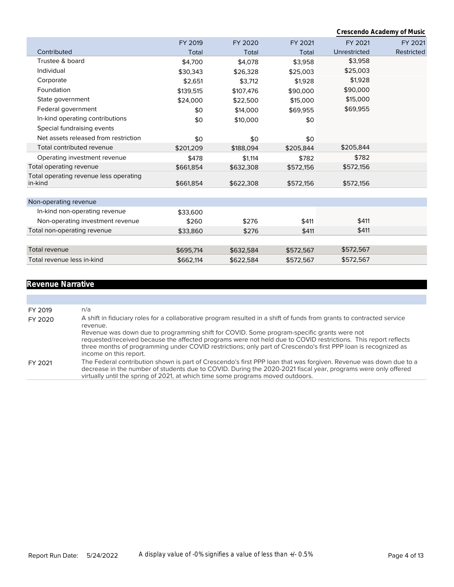**Crescendo Academy of Music**

|                                        | FY 2019   | FY 2020   | FY 2021   | FY 2021      | FY 2021    |
|----------------------------------------|-----------|-----------|-----------|--------------|------------|
| Contributed                            | Total     | Total     | Total     | Unrestricted | Restricted |
| Trustee & board                        | \$4,700   | \$4,078   | \$3,958   | \$3,958      |            |
| Individual                             | \$30,343  | \$26,328  | \$25,003  | \$25,003     |            |
| Corporate                              | \$2,651   | \$3,712   | \$1,928   | \$1,928      |            |
| Foundation                             | \$139,515 | \$107,476 | \$90,000  | \$90,000     |            |
| State government                       | \$24,000  | \$22,500  | \$15,000  | \$15,000     |            |
| Federal government                     | \$0       | \$14,000  | \$69,955  | \$69,955     |            |
| In-kind operating contributions        | \$0       | \$10,000  | \$0       |              |            |
| Special fundraising events             |           |           |           |              |            |
| Net assets released from restriction   | \$0       | \$0       | \$0       |              |            |
| Total contributed revenue              | \$201,209 | \$188,094 | \$205,844 | \$205,844    |            |
| Operating investment revenue           | \$478     | \$1,114   | \$782     | \$782        |            |
| Total operating revenue                | \$661,854 | \$632,308 | \$572,156 | \$572,156    |            |
| Total operating revenue less operating |           |           |           |              |            |
| in-kind                                | \$661,854 | \$622,308 | \$572,156 | \$572,156    |            |
| Non-operating revenue                  |           |           |           |              |            |
| In-kind non-operating revenue          | \$33,600  |           |           |              |            |
| Non-operating investment revenue       | \$260     | \$276     | \$411     | \$411        |            |
| Total non-operating revenue            | \$33,860  | \$276     | \$411     | \$411        |            |
|                                        |           |           |           |              |            |
| <b>Total revenue</b>                   | \$695,714 | \$632,584 | \$572,567 | \$572,567    |            |
| Total revenue less in-kind             | \$662.114 | \$622.584 | \$572.567 | \$572,567    |            |

# **Revenue Narrative**

| FY 2019 | n/a                                                                                                                                                                                                                                                                                                                                                      |
|---------|----------------------------------------------------------------------------------------------------------------------------------------------------------------------------------------------------------------------------------------------------------------------------------------------------------------------------------------------------------|
| FY 2020 | A shift in fiduciary roles for a collaborative program resulted in a shift of funds from grants to contracted service<br>revenue.                                                                                                                                                                                                                        |
|         | Revenue was down due to programming shift for COVID. Some program-specific grants were not<br>requested/received because the affected programs were not held due to COVID restrictions. This report reflects<br>three months of programming under COVID restrictions; only part of Crescendo's first PPP loan is recognized as<br>income on this report. |
| FY 2021 | The Federal contribution shown is part of Crescendo's first PPP loan that was forgiven. Revenue was down due to a<br>decrease in the number of students due to COVID. During the 2020-2021 fiscal year, programs were only offered<br>virtually until the spring of 2021, at which time some programs moved outdoors.                                    |
|         |                                                                                                                                                                                                                                                                                                                                                          |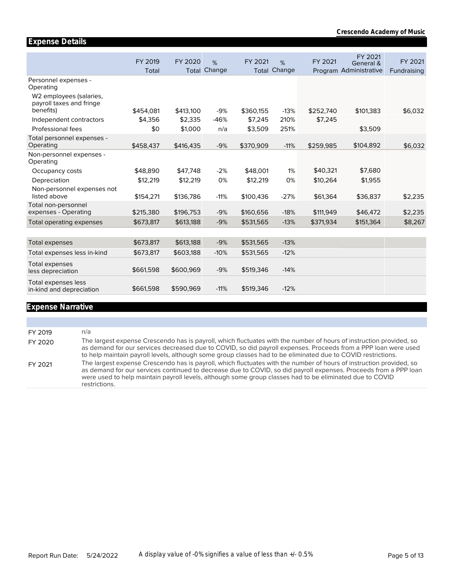|                                                              | FY 2019<br>Total | FY 2020<br>Total | %<br>Change | FY 2021<br>Total | %<br>Change | FY 2021   | FY 2021<br>General &<br>Program Administrative | FY 2021<br>Fundraising |
|--------------------------------------------------------------|------------------|------------------|-------------|------------------|-------------|-----------|------------------------------------------------|------------------------|
| Personnel expenses -<br>Operating<br>W2 employees (salaries, |                  |                  |             |                  |             |           |                                                |                        |
| payroll taxes and fringe<br>benefits)                        | \$454.081        | \$413,100        | $-9%$       | \$360,155        | $-13%$      | \$252,740 | \$101,383                                      | \$6,032                |
| Independent contractors                                      | \$4.356          | \$2,335          | $-46%$      | \$7,245          | 210%        | \$7,245   |                                                |                        |
| Professional fees                                            | \$0              | \$1,000          | n/a         | \$3,509          | 251%        |           | \$3,509                                        |                        |
| Total personnel expenses -<br>Operating                      | \$458,437        | \$416,435        | $-9%$       | \$370,909        | $-11%$      | \$259,985 | \$104,892                                      | \$6,032                |
| Non-personnel expenses -<br>Operating                        |                  |                  |             |                  |             |           |                                                |                        |
| Occupancy costs                                              | \$48,890         | \$47.748         | $-2%$       | \$48,001         | 1%          | \$40,321  | \$7,680                                        |                        |
| Depreciation                                                 | \$12,219         | \$12,219         | 0%          | \$12,219         | 0%          | \$10,264  | \$1,955                                        |                        |
| Non-personnel expenses not<br>listed above                   | \$154,271        | \$136,786        | $-11%$      | \$100,436        | $-27%$      | \$61,364  | \$36,837                                       | \$2,235                |
| Total non-personnel<br>expenses - Operating                  | \$215,380        | \$196,753        | $-9%$       | \$160,656        | $-18%$      | \$111,949 | \$46,472                                       | \$2,235                |
| Total operating expenses                                     | \$673,817        | \$613,188        | $-9%$       | \$531,565        | $-13%$      | \$371,934 | \$151,364                                      | \$8,267                |
|                                                              |                  |                  |             |                  |             |           |                                                |                        |
| <b>Total expenses</b>                                        | \$673,817        | \$613,188        | $-9%$       | \$531,565        | $-13%$      |           |                                                |                        |
| Total expenses less in-kind                                  | \$673,817        | \$603,188        | $-10%$      | \$531,565        | $-12%$      |           |                                                |                        |
| Total expenses<br>less depreciation                          | \$661,598        | \$600,969        | $-9%$       | \$519,346        | $-14%$      |           |                                                |                        |
| Total expenses less<br>in-kind and depreciation              | \$661,598        | \$590,969        | $-11%$      | \$519,346        | $-12%$      |           |                                                |                        |

### **Expense Narrative**

**Expense Details**

FY 2019 n/a FY 2020 The largest expense Crescendo has is payroll, which fluctuates with the number of hours of instruction provided, so as demand for our services decreased due to COVID, so did payroll expenses. Proceeds from a PPP loan were used to help maintain payroll levels, although some group classes had to be eliminated due to COVID restrictions. FY 2021 The largest expense Crescendo has is payroll, which fluctuates with the number of hours of instruction provided, so as demand for our services continued to decrease due to COVID, so did payroll expenses. Proceeds from a PPP loan were used to help maintain payroll levels, although some group classes had to be eliminated due to COVID restrictions.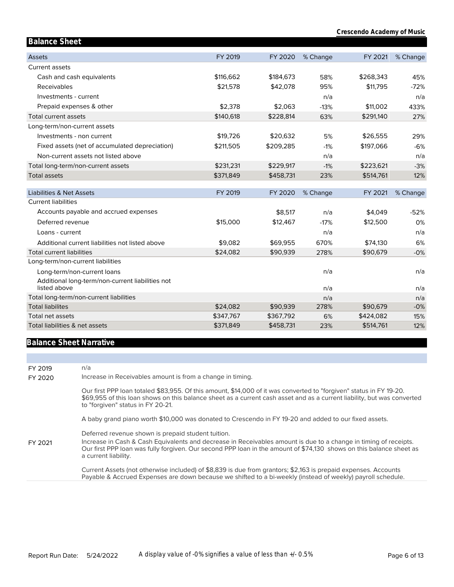| <b>Balance Sheet</b>                             |           |           |          |           |          |
|--------------------------------------------------|-----------|-----------|----------|-----------|----------|
| <b>Assets</b>                                    | FY 2019   | FY 2020   | % Change | FY 2021   | % Change |
| Current assets                                   |           |           |          |           |          |
| Cash and cash equivalents                        | \$116,662 | \$184,673 | 58%      | \$268,343 | 45%      |
| Receivables                                      | \$21,578  | \$42,078  | 95%      | \$11,795  | $-72%$   |
| Investments - current                            |           |           | n/a      |           | n/a      |
| Prepaid expenses & other                         | \$2.378   | \$2.063   | $-13%$   | \$11,002  | 433%     |
| Total current assets                             | \$140,618 | \$228,814 | 63%      | \$291,140 | 27%      |
| Long-term/non-current assets                     |           |           |          |           |          |
| Investments - non current                        | \$19,726  | \$20,632  | 5%       | \$26,555  | 29%      |
| Fixed assets (net of accumulated depreciation)   | \$211,505 | \$209,285 | $-1%$    | \$197,066 | $-6%$    |
| Non-current assets not listed above              |           |           | n/a      |           | n/a      |
| Total long-term/non-current assets               | \$231,231 | \$229,917 | $-1%$    | \$223,621 | $-3%$    |
| <b>Total assets</b>                              | \$371,849 | \$458,731 | 23%      | \$514,761 | 12%      |
| <b>Liabilities &amp; Net Assets</b>              | FY 2019   | FY 2020   | % Change | FY 2021   | % Change |
| <b>Current liabilities</b>                       |           |           |          |           |          |
| Accounts payable and accrued expenses            |           | \$8,517   | n/a      | \$4,049   | $-52%$   |
| Deferred revenue                                 | \$15,000  | \$12,467  | $-17%$   | \$12,500  | 0%       |
| Loans - current                                  |           |           | n/a      |           | n/a      |
| Additional current liabilities not listed above  | \$9,082   | \$69,955  | 670%     | \$74,130  | 6%       |
| <b>Total current liabilities</b>                 | \$24,082  | \$90,939  | 278%     | \$90,679  | $-0%$    |
| Long-term/non-current liabilities                |           |           |          |           |          |
| Long-term/non-current loans                      |           |           | n/a      |           | n/a      |
| Additional long-term/non-current liabilities not |           |           |          |           |          |
| listed above                                     |           |           | n/a      |           | n/a      |
| Total long-term/non-current liabilities          |           |           | n/a      |           | n/a      |
| <b>Total liabilites</b>                          | \$24,082  | \$90,939  | 278%     | \$90,679  | $-0%$    |
| Total net assets                                 | \$347,767 | \$367,792 | 6%       | \$424,082 | 15%      |
| Total liabilities & net assets                   | \$371,849 | \$458,731 | 23%      | \$514,761 | 12%      |

## **Balance Sheet Narrative**

| FY 2019<br>FY 2020 | n/a<br>Increase in Receivables amount is from a change in timing.                                                                                                                                                                                                                                                     |
|--------------------|-----------------------------------------------------------------------------------------------------------------------------------------------------------------------------------------------------------------------------------------------------------------------------------------------------------------------|
|                    | Our first PPP loan totaled \$83,955. Of this amount, \$14,000 of it was converted to "forgiven" status in FY 19-20.<br>\$69,955 of this loan shows on this balance sheet as a current cash asset and as a current liability, but was converted<br>to "forgiven" status in FY 20-21.                                   |
|                    | A baby grand piano worth \$10,000 was donated to Crescendo in FY 19-20 and added to our fixed assets.                                                                                                                                                                                                                 |
| FY 2021            | Deferred revenue shown is prepaid student tuition.<br>Increase in Cash & Cash Equivalents and decrease in Receivables amount is due to a change in timing of receipts.<br>Our first PPP loan was fully forgiven. Our second PPP loan in the amount of \$74,130 shows on this balance sheet as<br>a current liability. |
|                    | Current Assets (not otherwise included) of \$8,839 is due from grantors; \$2,163 is prepaid expenses. Accounts<br>Payable & Accrued Expenses are down because we shifted to a bi-weekly (instead of weekly) payroll schedule.                                                                                         |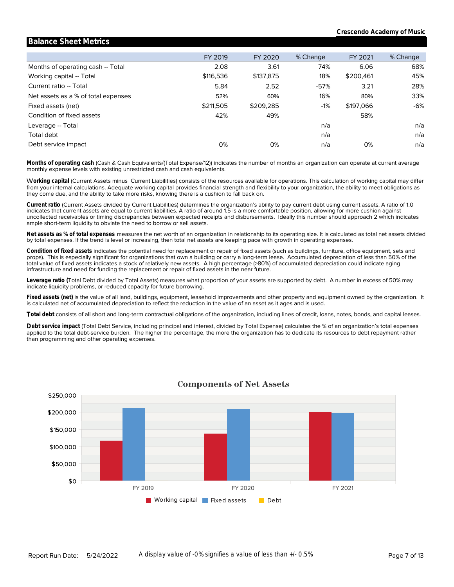### Months of operating cash -- Total Working capital -- Total Current ratio -- Total Net assets as a % of total expenses Fixed assets (net) Condition of fixed assets Leverage -- Total **Leverage\_ratio** Total debt Debt service impact FY 2019 2.08 \$116,536 5.84 52% \$211,505 42% 0% FY 2020 3.61 \$137,875 2.52 60% \$209,285 49% 0% % Change 74% 18% -57% 16% -1% n/a n/a n/a FY 2021 6.06 \$200,461 3.21 80% \$197,066 58% 0% % Change 68% 45% 28% 33% -6% n/a n/a n/a

**Balance Sheet Metrics**

monthly expense levels with existing unrestricted cash and cash equivalents. **Months of operating cash** (Cash & Cash Equivalents/(Total Expense/12)) indicates the number of months an organization can operate at current average

they come due, and the ability to take more risks, knowing there is a cushion to fall back on. from your internal calculations. Adequate working capital provides financial strength and flexibility to your organization, the ability to meet obligations as W**orking capital** (Current Assets minus Current Liabilities) consists of the resources available for operations. This calculation of working capital may differ

ample short-term liquidity to obviate the need to borrow or sell assets. uncollected receivables or timing discrepancies between expected receipts and disbursements. Ideally this number should approach 2 which indicates indicates that current assets are equal to current liabilities. A ratio of around 1.5 is a more comfortable position, allowing for more cushion against **Current ratio** (Current Assets divided by Current Liabilities) determines the organization's ability to pay current debt using current assets. A ratio of 1.0

by total expenses. If the trend is level or increasing, then total net assets are keeping pace with growth in operating expenses. **Net assets as % of total expenses** measures the net worth of an organization in relationship to its operating size. It is calculated as total net assets divided

infrastructure and need for funding the replacement or repair of fixed assets in the near future. total value of fixed assets indicates a stock of relatively new assets. A high percentage (>80%) of accumulated depreciation could indicate aging props). This is especially significant for organizations that own a building or carry a long-term lease. Accumulated depreciation of less than 50% of the **Condition of fixed assets** indicates the potential need for replacement or repair of fixed assets (such as buildings, furniture, office equipment, sets and

indicate liquidity problems, or reduced capacity for future borrowing. **Leverage ratio (**Total Debt divided by Total Assets) measures what proportion of your assets are supported by debt. A number in excess of 50% may

is calculated net of accumulated depreciation to reflect the reduction in the value of an asset as it ages and is used. **Fixed assets (net)** is the value of all land, buildings, equipment, leasehold improvements and other property and equipment owned by the organization. It

**Total debt** consists of all short and long-term contractual obligations of the organization, including lines of credit, loans, notes, bonds, and capital leases.

than programming and other operating expenses. applied to the total debt-service burden. The higher the percentage, the more the organization has to dedicate its resources to debt repayment rather **Debt service impact** (Total Debt Service, including principal and interest, divided by Total Expense) calculates the % of an organization's total expenses



### **Components of Net Assets**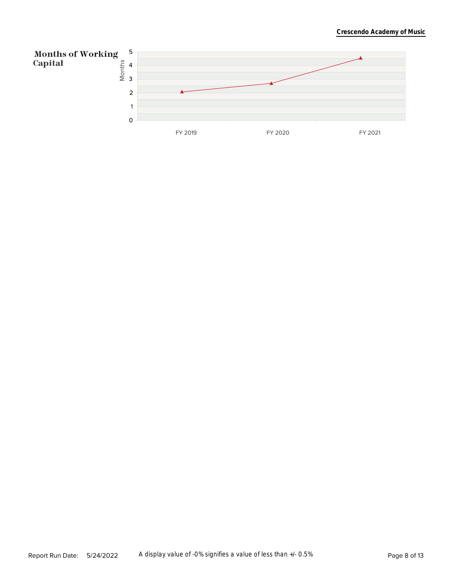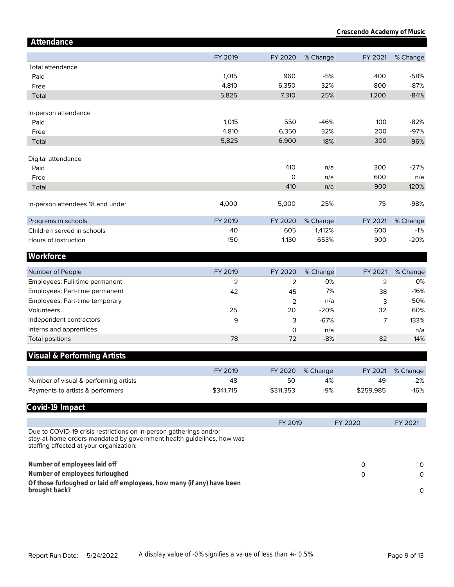| Attendance                                                                                                                                                                             |           |              |          |           |          |
|----------------------------------------------------------------------------------------------------------------------------------------------------------------------------------------|-----------|--------------|----------|-----------|----------|
|                                                                                                                                                                                        | FY 2019   | FY 2020      | % Change | FY 2021   | % Change |
| Total attendance                                                                                                                                                                       |           |              |          |           |          |
| Paid                                                                                                                                                                                   | 1,015     | 960          | $-5%$    | 400       | $-58%$   |
| Free                                                                                                                                                                                   | 4,810     | 6,350        | 32%      | 800       | $-87%$   |
| Total                                                                                                                                                                                  | 5,825     | 7,310        | 25%      | 1,200     | $-84%$   |
| In-person attendance                                                                                                                                                                   |           |              |          |           |          |
| Paid                                                                                                                                                                                   | 1,015     | 550          | $-46%$   | 100       | $-82%$   |
| Free                                                                                                                                                                                   | 4,810     | 6,350        | 32%      | 200       | $-97%$   |
| Total                                                                                                                                                                                  | 5,825     | 6,900        | 18%      | 300       | $-96%$   |
|                                                                                                                                                                                        |           |              |          |           |          |
| Digital attendance                                                                                                                                                                     |           | 410          | n/a      | 300       | $-27%$   |
| Paid                                                                                                                                                                                   |           | $\mathsf{O}$ | n/a      | 600       | n/a      |
| Free                                                                                                                                                                                   |           | 410          |          | 900       | 120%     |
| Total                                                                                                                                                                                  |           |              | n/a      |           |          |
| In-person attendees 18 and under                                                                                                                                                       | 4,000     | 5,000        | 25%      | 75        | $-98%$   |
| Programs in schools                                                                                                                                                                    | FY 2019   | FY 2020      | % Change | FY 2021   | % Change |
| Children served in schools                                                                                                                                                             | 40        | 605          | 1,412%   | 600       | $-1%$    |
| Hours of instruction                                                                                                                                                                   | 150       | 1,130        | 653%     | 900       | $-20%$   |
| Workforce                                                                                                                                                                              |           |              |          |           |          |
|                                                                                                                                                                                        |           |              |          |           |          |
| Number of People                                                                                                                                                                       | FY 2019   | FY 2020      | % Change | FY 2021   | % Change |
| Employees: Full-time permanent                                                                                                                                                         | 2         | 2            | 0%       | 2         | 0%       |
| Employees: Part-time permanent                                                                                                                                                         | 42        | 45           | 7%       | 38        | $-16%$   |
| Employees: Part-time temporary                                                                                                                                                         |           | 2            | n/a      | 3         | 50%      |
| Volunteers                                                                                                                                                                             | 25        | 20           | $-20%$   | 32        | 60%      |
| Independent contractors                                                                                                                                                                | 9         | 3            | $-67%$   | 7         | 133%     |
| Interns and apprentices                                                                                                                                                                |           | 0            | n/a      |           | n/a      |
| <b>Total positions</b>                                                                                                                                                                 | 78        | 72           | $-8%$    | 82        | 14%      |
| Visual & Performing Artists                                                                                                                                                            |           |              |          |           |          |
|                                                                                                                                                                                        | FY 2019   | FY 2020      | % Change | FY 2021   | % Change |
| Number of visual & performing artists                                                                                                                                                  | 48        | 50           | 4%       | 49        | $-2%$    |
| Payments to artists & performers                                                                                                                                                       | \$341,715 | \$311,353    | -9%      | \$259,985 | $-16%$   |
| Covid-19 Impact                                                                                                                                                                        |           |              |          |           |          |
|                                                                                                                                                                                        |           | FY 2019      |          | FY 2020   | FY 2021  |
| Due to COVID-19 crisis restrictions on in-person gatherings and/or<br>stay-at-home orders mandated by government health guidelines, how was<br>staffing affected at your organization: |           |              |          |           |          |
| Number of employees laid off                                                                                                                                                           |           |              |          | 0         | 0        |
| Number of employees furloughed                                                                                                                                                         |           |              |          | 0         | 0        |
| Of those furloughed or laid off employees, how many (if any) have been                                                                                                                 |           |              |          |           |          |
| brought back?                                                                                                                                                                          |           |              |          |           | 0        |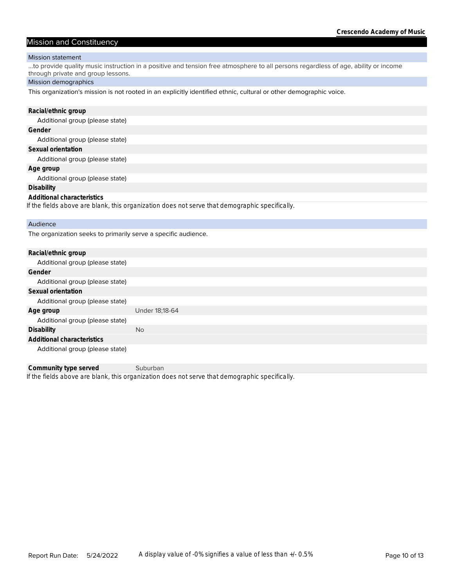### Mission and Constituency

### Mission statement

...to provide quality music instruction in a positive and tension free atmosphere to all persons regardless of age, ability or income through private and group lessons.

### Mission demographics

This organization's mission is not rooted in an explicitly identified ethnic, cultural or other demographic voice.

| Racial/ethnic group                                                                            |
|------------------------------------------------------------------------------------------------|
| Additional group (please state)                                                                |
| Gender                                                                                         |
| Additional group (please state)                                                                |
| Sexual orientation                                                                             |
| Additional group (please state)                                                                |
| Age group                                                                                      |
| Additional group (please state)                                                                |
| <b>Disability</b>                                                                              |
| Additional characteristics                                                                     |
| If the fields above are blank, this organization does not serve that demographic specifically. |
| Audience                                                                                       |
| The organization seeks to primarily serve a specific audience.                                 |
| Racial/ethnic group                                                                            |
| $A$ dditional aroun (ploese state)                                                             |

| Under 18:18-64 |
|----------------|
|                |
| <b>No</b>      |
|                |
|                |
|                |

*If the fields above are blank, this organization does not serve that demographic specifically.* **Community type served** Suburban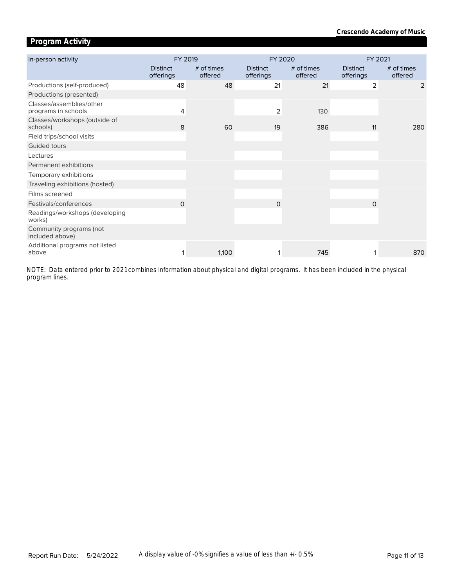# **Program Activity**

| In-person activity                              | FY 2019                      |                       | FY 2020                      |                       | FY 2021                      |                       |  |
|-------------------------------------------------|------------------------------|-----------------------|------------------------------|-----------------------|------------------------------|-----------------------|--|
|                                                 | <b>Distinct</b><br>offerings | # of times<br>offered | <b>Distinct</b><br>offerings | # of times<br>offered | <b>Distinct</b><br>offerings | # of times<br>offered |  |
| Productions (self-produced)                     | 48                           | 48                    | 21                           | 21                    | $\overline{2}$               | 2                     |  |
| Productions (presented)                         |                              |                       |                              |                       |                              |                       |  |
| Classes/assemblies/other<br>programs in schools | 4                            |                       | 2                            | 130                   |                              |                       |  |
| Classes/workshops (outside of<br>schools)       | 8                            | 60                    | 19                           | 386                   | 11                           | 280                   |  |
| Field trips/school visits                       |                              |                       |                              |                       |                              |                       |  |
| Guided tours                                    |                              |                       |                              |                       |                              |                       |  |
| Lectures                                        |                              |                       |                              |                       |                              |                       |  |
| Permanent exhibitions                           |                              |                       |                              |                       |                              |                       |  |
| Temporary exhibitions                           |                              |                       |                              |                       |                              |                       |  |
| Traveling exhibitions (hosted)                  |                              |                       |                              |                       |                              |                       |  |
| Films screened                                  |                              |                       |                              |                       |                              |                       |  |
| Festivals/conferences                           | $\Omega$                     |                       | $\Omega$                     |                       | $\Omega$                     |                       |  |
| Readings/workshops (developing<br>works)        |                              |                       |                              |                       |                              |                       |  |
| Community programs (not<br>included above)      |                              |                       |                              |                       |                              |                       |  |
| Additional programs not listed<br>above         |                              | 1,100                 |                              | 745                   |                              | 870                   |  |

*program lines. NOTE: Data entered prior to 2021 combines information about physical and digital programs. It has been included in the physical*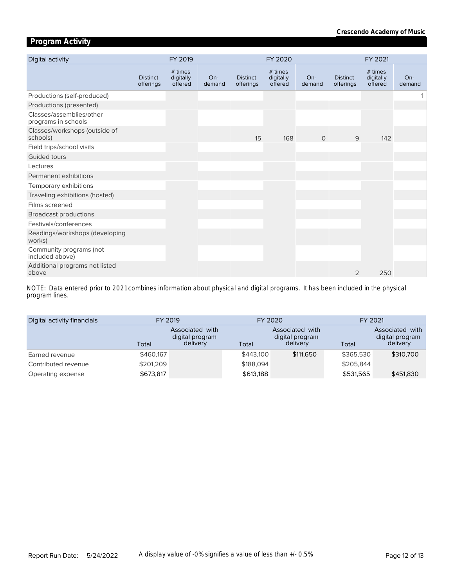# **Program Activity**

| Digital activity                                |                              | FY 2019                         |                 |                              | FY 2020                         |                 |                              | FY 2021                         |                 |
|-------------------------------------------------|------------------------------|---------------------------------|-----------------|------------------------------|---------------------------------|-----------------|------------------------------|---------------------------------|-----------------|
|                                                 | <b>Distinct</b><br>offerings | # times<br>digitally<br>offered | $On-$<br>demand | <b>Distinct</b><br>offerings | # times<br>digitally<br>offered | $On-$<br>demand | <b>Distinct</b><br>offerings | # times<br>digitally<br>offered | $On-$<br>demand |
| Productions (self-produced)                     |                              |                                 |                 |                              |                                 |                 |                              |                                 |                 |
| Productions (presented)                         |                              |                                 |                 |                              |                                 |                 |                              |                                 |                 |
| Classes/assemblies/other<br>programs in schools |                              |                                 |                 |                              |                                 |                 |                              |                                 |                 |
| Classes/workshops (outside of<br>schools)       |                              |                                 |                 | 15                           | 168                             | $\circ$         | 9                            | 142                             |                 |
| Field trips/school visits                       |                              |                                 |                 |                              |                                 |                 |                              |                                 |                 |
| Guided tours                                    |                              |                                 |                 |                              |                                 |                 |                              |                                 |                 |
| Lectures                                        |                              |                                 |                 |                              |                                 |                 |                              |                                 |                 |
| Permanent exhibitions                           |                              |                                 |                 |                              |                                 |                 |                              |                                 |                 |
| Temporary exhibitions                           |                              |                                 |                 |                              |                                 |                 |                              |                                 |                 |
| Traveling exhibitions (hosted)                  |                              |                                 |                 |                              |                                 |                 |                              |                                 |                 |
| Films screened                                  |                              |                                 |                 |                              |                                 |                 |                              |                                 |                 |
| <b>Broadcast productions</b>                    |                              |                                 |                 |                              |                                 |                 |                              |                                 |                 |
| Festivals/conferences                           |                              |                                 |                 |                              |                                 |                 |                              |                                 |                 |
| Readings/workshops (developing<br>works)        |                              |                                 |                 |                              |                                 |                 |                              |                                 |                 |
| Community programs (not<br>included above)      |                              |                                 |                 |                              |                                 |                 |                              |                                 |                 |
| Additional programs not listed<br>above         |                              |                                 |                 |                              |                                 |                 | 2                            | 250                             |                 |

*program lines. NOTE: Data entered prior to 2021 combines information about physical and digital programs. It has been included in the physical* 

| Digital activity financials | FY 2019   |                                                | FY 2020   |                                                | FY 2021   |                                                |
|-----------------------------|-----------|------------------------------------------------|-----------|------------------------------------------------|-----------|------------------------------------------------|
|                             | Total     | Associated with<br>digital program<br>delivery | Total     | Associated with<br>digital program<br>delivery | Total     | Associated with<br>digital program<br>delivery |
| Earned revenue              | \$460,167 |                                                | \$443,100 | \$111,650                                      | \$365,530 | \$310,700                                      |
| Contributed revenue         | \$201,209 |                                                | \$188,094 |                                                | \$205.844 |                                                |
| Operating expense           | \$673,817 |                                                | \$613,188 |                                                | \$531,565 | \$451,830                                      |